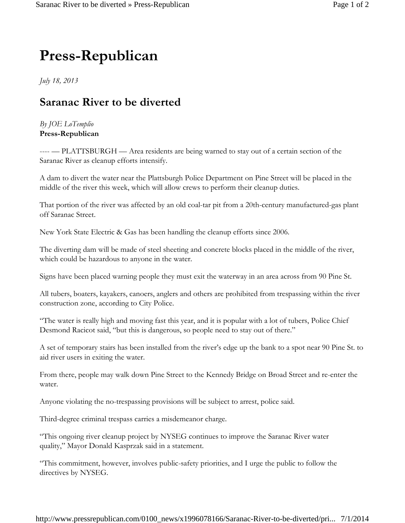## **Press-Republican**

*July 18, 2013*

## **Saranac River to be diverted**

## *By JOE LoTemplio* **Press-Republican**

---- — PLATTSBURGH — Area residents are being warned to stay out of a certain section of the Saranac River as cleanup efforts intensify.

A dam to divert the water near the Plattsburgh Police Department on Pine Street will be placed in the middle of the river this week, which will allow crews to perform their cleanup duties.

That portion of the river was affected by an old coal-tar pit from a 20th-century manufactured-gas plant off Saranac Street.

New York State Electric & Gas has been handling the cleanup efforts since 2006.

The diverting dam will be made of steel sheeting and concrete blocks placed in the middle of the river, which could be hazardous to anyone in the water.

Signs have been placed warning people they must exit the waterway in an area across from 90 Pine St.

All tubers, boaters, kayakers, canoers, anglers and others are prohibited from trespassing within the river construction zone, according to City Police.

"The water is really high and moving fast this year, and it is popular with a lot of tubers, Police Chief Desmond Racicot said, "but this is dangerous, so people need to stay out of there."

A set of temporary stairs has been installed from the river's edge up the bank to a spot near 90 Pine St. to aid river users in exiting the water.

From there, people may walk down Pine Street to the Kennedy Bridge on Broad Street and re-enter the water.

Anyone violating the no-trespassing provisions will be subject to arrest, police said.

Third-degree criminal trespass carries a misdemeanor charge.

"This ongoing river cleanup project by NYSEG continues to improve the Saranac River water quality," Mayor Donald Kasprzak said in a statement.

"This commitment, however, involves public-safety priorities, and I urge the public to follow the directives by NYSEG.